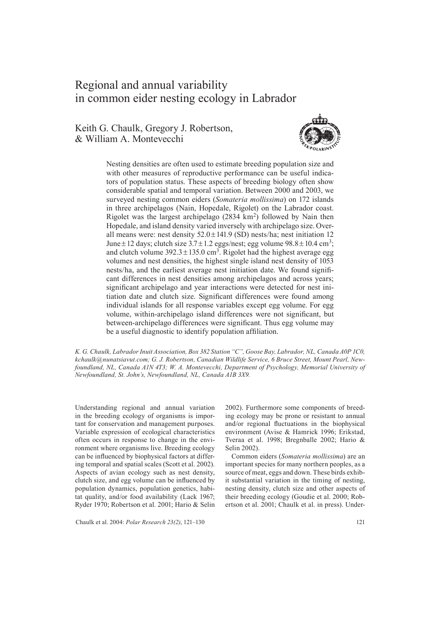# Regional and annual variability in common eider nesting ecology in Labrador

Keith G. Chaulk, Gregory J. Robertson, & William A. Montevecchi



Nesting densities are often used to estimate breeding population size and with other measures of reproductive performance can be useful indicators of population status. These aspects of breeding biology often show considerable spatial and temporal variation. Between 2000 and 2003, we surveyed nesting common eiders (*Somateria mollissima*) on 172 islands in three archipelagos (Nain, Hopedale, Rigolet) on the Labrador coast. Rigolet was the largest archipelago  $(2834 \text{ km}^2)$  followed by Nain then Hopedale, and island density varied inversely with archipelago size. Overall means were: nest density  $52.0 \pm 141.9$  (SD) nests/ha; nest initiation 12 June  $\pm$  12 days; clutch size 3.7  $\pm$  1.2 eggs/nest; egg volume 98.8  $\pm$  10.4 cm<sup>3</sup>; and clutch volume  $392.3 \pm 135.0$  cm<sup>3</sup>. Rigolet had the highest average egg volumes and nest densities, the highest single island nest density of 1053 nests/ha, and the earliest average nest initiation date. We found significant differences in nest densities among archipelagos and across years; significant archipelago and year interactions were detected for nest initiation date and clutch size. Significant differences were found among individual islands for all response variables except egg volume. For egg volume, within-archipelago island differences were not significant, but between-archipelago differences were significant. Thus egg volume may be a useful diagnostic to identify population affiliation.

*K. G. Chaulk, Labrador Inuit Association, Box 382 Station "C", Goose Bay, Labrador, NL, Canada A0P 1C0, kchaulk@nunatsiavut.com; G. J. Robertson, Canadian Wildlife Service, 6 Bruce Street, Mount Pearl, Newfoundland, NL, Canada A1N 4T3; W. A. Montevecchi, Department of Psychology, Memorial University of Newfoundland, St. John's, Newfoundland, NL, Canada A1B 3X9.*

Understanding regional and annual variation in the breeding ecology of organisms is important for conservation and management purposes. Variable expression of ecological characteristics often occurs in response to change in the environment where organisms live. Breeding ecology can be influenced by biophysical factors at differing temporal and spatial scales (Scott et al. 2002). Aspects of avian ecology such as nest density, clutch size, and egg volume can be influenced by population dynamics, population genetics, habitat quality, and/or food availability (Lack 1967; Ryder 1970; Robertson et al. 2001; Hario & Selin

Chaulk et al. 2004: *Polar Research 23(2)*, 121–130 121

2002). Furthermore some components of breeding ecology may be prone or resistant to annual and/or regional fluctuations in the biophysical environment (Avise & Hamrick 1996; Erikstad, Tveraa et al. 1998; Bregnballe 2002; Hario & Selin 2002).

Common eiders (*Somateria mollissima*) are an important species for many northern peoples, as a source of meat, eggs and down. These birds exhibit substantial variation in the timing of nesting, nesting density, clutch size and other aspects of their breeding ecology (Goudie et al. 2000; Robertson et al. 2001; Chaulk et al. in press). Under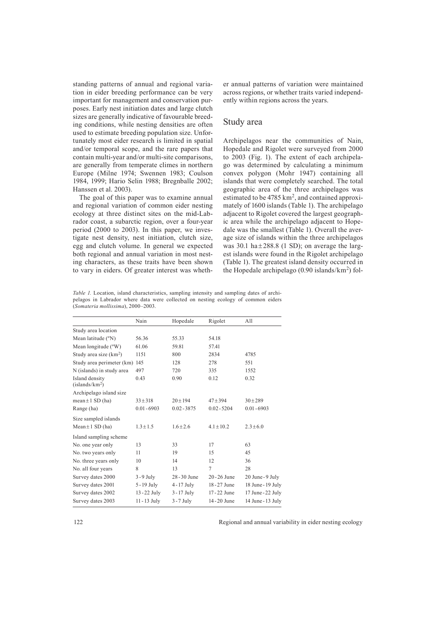standing patterns of annual and regional variation in eider breeding performance can be very important for management and conservation purposes. Early nest initiation dates and large clutch sizes are generally indicative of favourable breeding conditions, while nesting densities are often used to estimate breeding population size. Unfortunately most eider research is limited in spatial and/or temporal scope, and the rare papers that contain multi-year and/or multi-site comparisons, are generally from temperate climes in northern Europe (Milne 1974; Swennen 1983; Coulson 1984, 1999; Hario Selin 1988; Bregnballe 2002; Hanssen et al. 2003).

The goal of this paper was to examine annual and regional variation of common eider nesting ecology at three distinct sites on the mid-Labrador coast, a subarctic region, over a four-year period (2000 to 2003). In this paper, we investigate nest density, nest initiation, clutch size, egg and clutch volume. In general we expected both regional and annual variation in most nesting characters, as these traits have been shown to vary in eiders. Of greater interest was whether annual patterns of variation were maintained across regions, or whether traits varied independently within regions across the years.

## Study area

Archipelagos near the communities of Nain, Hopedale and Rigolet were surveyed from 2000 to 2003 (Fig. 1). The extent of each archipelago was determined by calculating a minimum convex polygon (Mohr 1947) containing all islands that were completely searched. The total geographic area of the three archipelagos was estimated to be  $4785 \text{ km}^2$ , and contained approximately of 1600 islands (Table 1). The archipelago adjacent to Rigolet covered the largest geographic area while the archipelago adjacent to Hopedale was the smallest (Table 1). Overall the average size of islands within the three archipelagos was 30.1 ha $\pm$ 288.8 (1 SD); on average the largest islands were found in the Rigolet archipelago (Table 1). The greatest island density occurred in the Hopedale archipelago  $(0.90 \text{ islands/km}^2)$  fol-

*Table 1.* Location, island characteristics, sampling intensity and sampling dates of archipelagos in Labrador where data were collected on nesting ecology of common eiders (*Somateria mollissima*), 2000–2003.

| Nain                             | Hopedale                     | Rigolet        | All               |  |
|----------------------------------|------------------------------|----------------|-------------------|--|
|                                  |                              |                |                   |  |
| 56.36                            | 55.33                        | 54.18          |                   |  |
| 61.06                            | 59.81                        | 57.41          |                   |  |
| 1151                             | 800                          | 2834<br>4785   |                   |  |
| Study area perimeter (km)<br>145 | 128                          | 278<br>551     |                   |  |
| 497                              | 720                          | 335            | 1552              |  |
| 0.43                             | 0.90                         | 0.12           | 0.32              |  |
|                                  |                              |                |                   |  |
| $33 \pm 318$                     | $20 \pm 194$<br>$47 \pm 394$ |                | $30 + 289$        |  |
| $0.01 - 6903$                    | $0.02 - 3875$                | $0.02 - 5204$  | $0.01 - 6903$     |  |
|                                  |                              |                |                   |  |
| $1.3 \pm 1.5$                    | $1.6 \pm 2.6$                | $4.1 \pm 10.2$ | $2.3 \pm 6.0$     |  |
|                                  |                              |                |                   |  |
| 13                               | 33                           | 17             | 63                |  |
| 11                               | 19                           | 15             | 45                |  |
| 10                               | 14                           | 12             | 36                |  |
| 8                                | 13                           | 7              | 28                |  |
| $3 - 9$ July                     | 28-30 June                   | $20 - 26$ June | 20 June - 9 July  |  |
| 5 - 19 July                      | $4 - 17$ July                | 18-27 June     | 18 June - 19 July |  |
| $13 - 22$ July                   | $3 - 17$ July                | 17-22 June     | 17 June - 22 July |  |
| 11 - 13 July                     | $3 - 7$ July                 | 14-20 June     | 14 June - 13 July |  |
|                                  |                              |                |                   |  |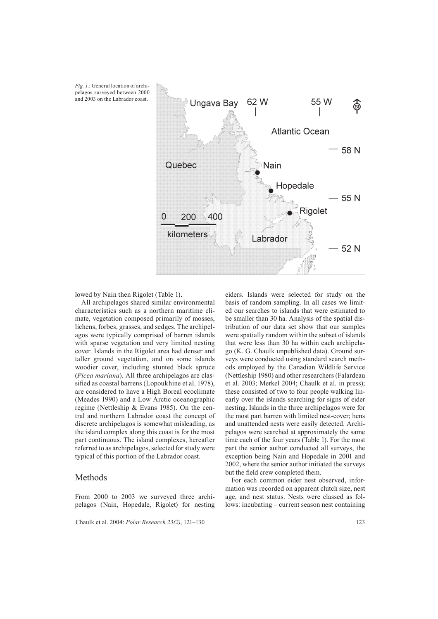

lowed by Nain then Rigolet (Table 1).

All archipelagos shared similar environmental characteristics such as a northern maritime climate, vegetation composed primarily of mosses, lichens, forbes, grasses, and sedges. The archipelagos were typically comprised of barren islands with sparse vegetation and very limited nesting cover. Islands in the Rigolet area had denser and taller ground vegetation, and on some islands woodier cover, including stunted black spruce (*Picea mariana*). All three archipelagos are classified as coastal barrens (Lopoukhine et al. 1978), are considered to have a High Boreal ecoclimate (Meades 1990) and a Low Arctic oceanographic regime (Nettleship & Evans 1985). On the central and northern Labrador coast the concept of discrete archipelagos is somewhat misleading, as the island complex along this coast is for the most part continuous. The island complexes, hereafter referred to as archipelagos, selected for study were typical of this portion of the Labrador coast.

## Methods

From 2000 to 2003 we surveyed three archipelagos (Nain, Hopedale, Rigolet) for nesting

Chaulk et al. 2004: *Polar Research 23(2)*, 121–130 123

eiders. Islands were selected for study on the basis of random sampling. In all cases we limited our searches to islands that were estimated to be smaller than 30 ha. Analysis of the spatial distribution of our data set show that our samples were spatially random within the subset of islands that were less than 30 ha within each archipelago (K. G. Chaulk unpublished data). Ground surveys were conducted using standard search methods employed by the Canadian Wildlife Service (Nettleship 1980) and other researchers (Falardeau et al. 2003; Merkel 2004; Chaulk et al. in press); these consisted of two to four people walking linearly over the islands searching for signs of eider nesting. Islands in the three archipelagos were for the most part barren with limited nest-cover; hens and unattended nests were easily detected. Archipelagos were searched at approximately the same time each of the four years (Table 1). For the most part the senior author conducted all surveys, the exception being Nain and Hopedale in 2001 and 2002, where the senior author initiated the surveys but the field crew completed them.

For each common eider nest observed, information was recorded on apparent clutch size, nest age, and nest status. Nests were classed as follows: incubating – current season nest containing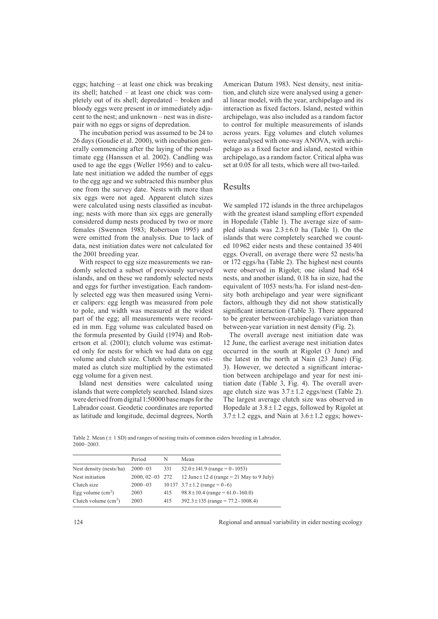eggs; hatching – at least one chick was breaking its shell; hatched – at least one chick was completely out of its shell; depredated – broken and bloody eggs were present in or immediately adjacent to the nest; and unknown – nest was in disrepair with no eggs or signs of depredation.

The incubation period was assumed to be 24 to 26 days (Goudie et al. 2000), with incubation generally commencing after the laying of the penultimate egg (Hanssen et al. 2002). Candling was used to age the eggs (Weller 1956) and to calculate nest initiation we added the number of eggs to the egg age and we subtracted this number plus one from the survey date. Nests with more than six eggs were not aged. Apparent clutch sizes were calculated using nests classified as incubating; nests with more than six eggs are generally considered dump nests produced by two or more females (Swennen 1983; Robertson 1995) and were omitted from the analysis. Due to lack of data, nest initiation dates were not calculated for the 2001 breeding year.

With respect to egg size measurements we randomly selected a subset of previously surveyed islands, and on these we randomly selected nests and eggs for further investigation. Each randomly selected egg was then measured using Vernier calipers: egg length was measured from pole to pole, and width was measured at the widest part of the egg; all measurements were recorded in mm. Egg volume was calculated based on the formula presented by Guild (1974) and Robertson et al. (2001); clutch volume was estimated only for nests for which we had data on egg volume and clutch size. Clutch volume was estimated as clutch size multiplied by the estimated egg volume for a given nest.

Island nest densities were calculated using islands that were completely searched. Island sizes were derived from digital 1:50000 base maps for the Labrador coast. Geodetic coordinates are reported as latitude and longitude, decimal degrees, North American Datum 1983. Nest density, nest initiation, and clutch size were analysed using a general linear model, with the year, archipelago and its interaction as fixed factors. Island, nested within archipelago, was also included as a random factor to control for multiple measurements of islands across years. Egg volumes and clutch volumes were analysed with one-way ANOVA, with archipelago as a fixed factor and island, nested within archipelago, as a random factor. Critical alpha was set at 0.05 for all tests, which were all two-tailed.

## Results

We sampled 172 islands in the three archipelagos with the greatest island sampling effort expended in Hopedale (Table 1). The average size of sampled islands was  $2.3 \pm 6.0$  ha (Table 1). On the islands that were completely searched we counted 10 962 eider nests and these contained 35 401 eggs. Overall, on average there were 52 nests/ha or 172 eggs/ha (Table 2). The highest nest counts were observed in Rigolet; one island had 654 nests, and another island, 0.18 ha in size, had the equivalent of 1053 nests/ha. For island nest-density both archipelago and year were significant factors, although they did not show statistically significant interaction (Table 3). There appeared to be greater between-archipelago variation than between-year variation in nest density (Fig. 2).

The overall average nest initiation date was 12 June, the earliest average nest initiation dates occurred in the south at Rigolet (3 June) and the latest in the north at Nain (23 June) (Fig. 3). However, we detected a significant interaction between archipelago and year for nest initiation date (Table 3, Fig. 4). The overall average clutch size was  $3.7 \pm 1.2$  eggs/nest (Table 2). The largest average clutch size was observed in Hopedale at  $3.8 \pm 1.2$  eggs, followed by Rigolet at  $3.7 \pm 1.2$  eggs, and Nain at  $3.6 \pm 1.2$  eggs; howev-

Table 2. Mean (  $\pm$  1 SD) and ranges of nesting traits of common eiders breeding in Labrador. 2000–2003.

|                               | Period          | N   | Mean                                          |
|-------------------------------|-----------------|-----|-----------------------------------------------|
| Nest density (nests/ha)       | $2000 - 03$     | 331 | $52.0 \pm 141.9$ (range = 0 - 1053)           |
| Nest initiation               | 2000, 02-03 272 |     | 12 June $\pm$ 12 d (range = 21 May to 9 July) |
| Clutch size                   | $2000 - 03$     |     | 10 137 $3.7 \pm 1.2$ (range = 0-6)            |
| Egg volume $\text{(cm}^3)$    | 2003            | 415 | $98.8 \pm 10.4$ (range = 61.0 - 160.0)        |
| Clutch volume $\text{(cm}^3)$ | 2003            | 415 | $392.3 \pm 135$ (range = 77.2 - 1008.4)       |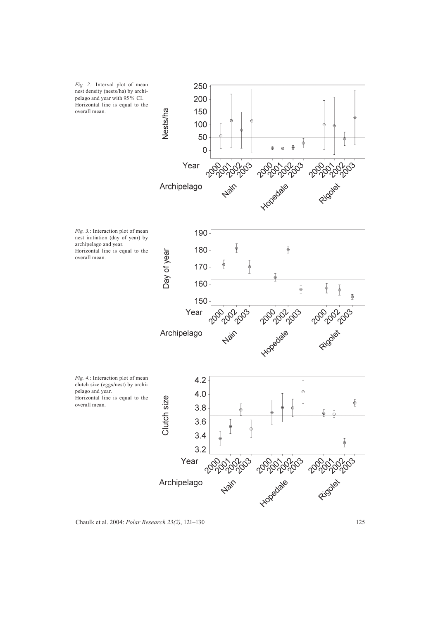

Chaulk et al. 2004: *Polar Research 23(2)*, 121–130 125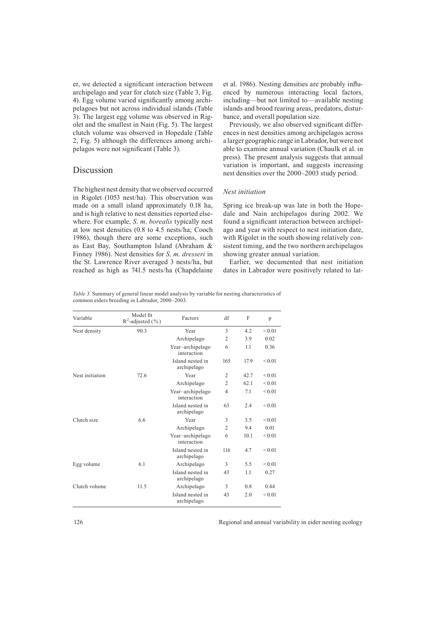er, we detected a significant interaction between archipelago and year for clutch size (Table 3, Fig. 4). Egg volume varied significantly among archipelagoes but not across individual islands (Table 3). The largest egg volume was observed in Rigolet and the smallest in Nain (Fig. 5). The largest clutch volume was observed in Hopedale (Table 2, Fig. 5) although the differences among archipelagos were not significant (Table 3).

## Discussion

The highest nest density that we observed occurred in Rigolet (1053 nest/ha). This observation was made on a small island approximately 0.18 ha, and is high relative to nest densities reported elsewhere. For example, *S*. *m*. *borealis* typically nest at low nest densities (0.8 to 4.5 nests/ha; Cooch 1986), though there are some exceptions, such as East Bay, Southampton Island (Abraham & Finney 1986). Nest densities for *S*. *m*. *dresseri* in the St. Lawrence River averaged 3 nests/ha, but reached as high as 741.5 nests/ha (Chapdelaine et al. 1986). Nesting densities are probably influenced by numerous interacting local factors, including—but not limited to—available nesting islands and brood rearing areas, predators, disturbance, and overall population size.

Previously, we also observed significant differences in nest densities among archipelagos across a larger geographic range in Labrador, but were not able to examine annual variation (Chaulk et al. in press). The present analysis suggests that annual variation is important, and suggests increasing nest densities over the 2000–2003 study period.

#### *Nest initiation*

Spring ice break-up was late in both the Hopedale and Nain archipelagos during 2002. We found a significant interaction between archipelago and year with respect to nest initiation date, with Rigolet in the south showing relatively consistent timing, and the two northern archipelagos showing greater annual variation.

Earlier, we documented that nest initiation dates in Labrador were positively related to lat-

*Table 3.* Summary of general linear model analysis by variable for nesting characteristics of common eiders breeding in Labrador, 2000–2003.

| Variable        | Model fit<br>$R^2$ -adjusted (%) | Factors                         | df             | F    | p           |
|-----------------|----------------------------------|---------------------------------|----------------|------|-------------|
| Nest density    | 90.3                             | Year                            | 3              | 4.2  | ${}_{0.01}$ |
|                 |                                  | Archipelago                     | $\overline{2}$ | 3.9  | 0.02        |
|                 |                                  | Year-archipelago<br>interaction | 6              | 1.1  | 0.36        |
|                 |                                  | Island nested in<br>archipelago | 165            | 17.9 | ${}_{0.01}$ |
| Nest initiation | 72.6                             | Year                            | $\overline{2}$ | 42.7 | ${}_{0.01}$ |
|                 |                                  | Archipelago                     | $\overline{2}$ | 62.1 | ${}_{0.01}$ |
|                 |                                  | Year-archipelago<br>interaction | $\overline{4}$ | 7.1  | ${}_{0.01}$ |
|                 |                                  | Island nested in<br>archipelago | 63             | 2.4  | ${}_{0.01}$ |
| Clutch size     | 6.6                              | Year                            | 3              | 3.5  | < 0.01      |
|                 |                                  | Archipelago                     | $\overline{2}$ | 9.4  | 0.01        |
|                 |                                  | Year-archipelago<br>interaction | 6              | 10.1 | ${}_{0.01}$ |
|                 |                                  | Island nested in<br>archipelago | 116            | 4.7  | ${}_{0.01}$ |
| Egg volume      | 6.1                              | Archipelago                     | 3              | 5.5  | ${}_{0.01}$ |
|                 |                                  | Island nested in<br>archipelago | 43             | 1.1  | 0.27        |
| Clutch volume   | 11.5                             | Archipelago                     | 3              | 0.8  | 0.44        |
|                 |                                  | Island nested in<br>archipelago | 43             | 2.0  | ${}_{0.01}$ |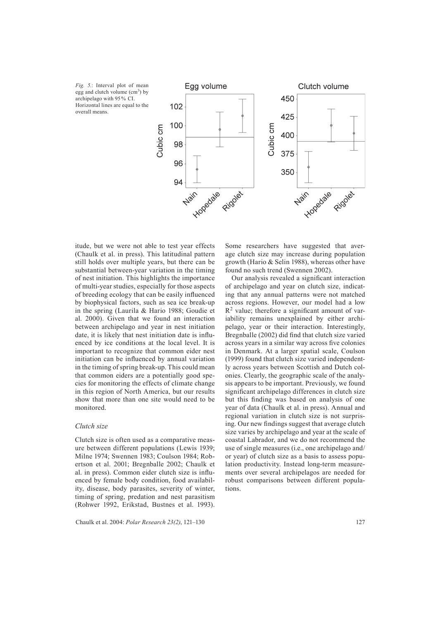*Fig. 5.*: Interval plot of mean egg and clutch volume (cm<sup>3</sup>) by archipelago with 95 % CI. Horizontal lines are equal to the overall means.



itude, but we were not able to test year effects (Chaulk et al. in press). This latitudinal pattern still holds over multiple years, but there can be substantial between-year variation in the timing of nest initiation. This highlights the importance of multi-year studies, especially for those aspects of breeding ecology that can be easily influenced by biophysical factors, such as sea ice break-up in the spring (Laurila & Hario 1988; Goudie et al. 2000). Given that we found an interaction between archipelago and year in nest initiation date, it is likely that nest initiation date is influenced by ice conditions at the local level. It is important to recognize that common eider nest initiation can be influenced by annual variation in the timing of spring break-up. This could mean that common eiders are a potentially good species for monitoring the effects of climate change in this region of North America, but our results show that more than one site would need to be monitored.

#### *Clutch size*

Clutch size is often used as a comparative measure between different populations (Lewis 1939; Milne 1974; Swennen 1983; Coulson 1984; Robertson et al. 2001; Bregnballe 2002; Chaulk et al. in press). Common eider clutch size is influenced by female body condition, food availability, disease, body parasites, severity of winter, timing of spring, predation and nest parasitism (Rohwer 1992, Erikstad, Bustnes et al. 1993).

Chaulk et al. 2004: *Polar Research 23(2)*, 121–130 127

Some researchers have suggested that average clutch size may increase during population growth (Hario & Selin 1988), whereas other have found no such trend (Swennen 2002).

Our analysis revealed a significant interaction of archipelago and year on clutch size, indicating that any annual patterns were not matched across regions. However, our model had a low  $R<sup>2</sup>$  value; therefore a significant amount of variability remains unexplained by either archipelago, year or their interaction. Interestingly, Bregnballe (2002) did find that clutch size varied across years in a similar way across five colonies in Denmark. At a larger spatial scale, Coulson (1999) found that clutch size varied independently across years between Scottish and Dutch colonies. Clearly, the geographic scale of the analysis appears to be important. Previously, we found significant archipelago differences in clutch size but this finding was based on analysis of one year of data (Chaulk et al. in press). Annual and regional variation in clutch size is not surprising. Our new findings suggest that average clutch size varies by archipelago and year at the scale of coastal Labrador, and we do not recommend the use of single measures (i.e., one archipelago and/ or year) of clutch size as a basis to assess population productivity. Instead long-term measurements over several archipelagos are needed for robust comparisons between different populations.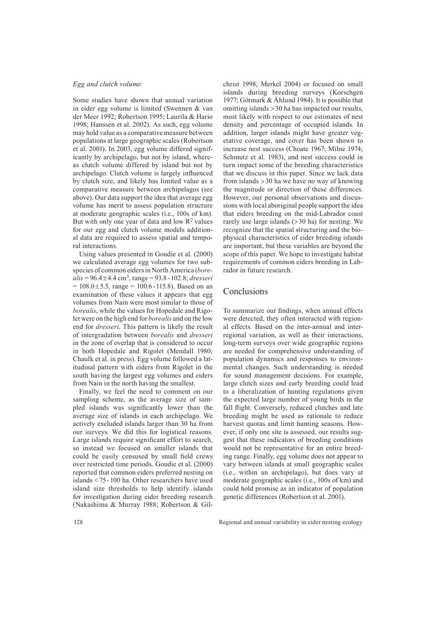### *Egg and clutch volume*

Some studies have shown that annual variation in eider egg volume is limited (Swennen & van der Meer 1992; Robertson 1995; Laurila & Hario 1998; Hanssen et al. 2002). As such, egg volume may hold value as a comparative measure between populations at large geographic scales (Robertson et al. 2001). In 2003, egg volume differed significantly by archipelago, but not by island, whereas clutch volume differed by island but not by archipelago. Clutch volume is largely influenced by clutch size, and likely has limited value as a comparative measure between archipelagos (see above). Our data support the idea that average egg volume has merit to assess population structure at moderate geographic scales (i.e., 100s of km). But with only one year of data and low  $R^2$  values for our egg and clutch volume models additional data are required to assess spatial and temporal interactions.

Using values presented in Goudie et al. (2000) we calculated average egg volumes for two subspecies of common eiders in North America (*borealis* = 96.4 ± 4.4 cm3, range = 93.8 - 102.8; *dresseri*  $= 108.0 \pm 5.5$ , range  $= 100.6 - 115.8$ ). Based on an examination of these values it appears that egg volumes from Nain were most similar to those of *borealis*, while the values for Hopedale and Rigolet were on the high end for *borealis* and on the low end for *dresseri*. This pattern is likely the result of intergradation between *borealis* and *dresseri* in the zone of overlap that is considered to occur in both Hopedale and Rigolet (Mendall 1980; Chaulk et al. in press). Egg volume followed a latitudinal pattern with eiders from Rigolet in the south having the largest egg volumes and eiders from Nain in the north having the smallest.

Finally, we feel the need to comment on our sampling scheme, as the average size of sampled islands was significantly lower than the average size of islands in each archipelago. We actively excluded islands larger than 30 ha from our surveys. We did this for logistical reasons. Large islands require significant effort to search, so instead we focused on smaller islands that could be easily censused by small field crews over restricted time periods. Goudie et al. (2000) reported that common eiders preferred nesting on islands < 75 - 100 ha. Other researchers have used island size thresholds to help identify islands for investigation during eider breeding research (Nakashima & Murray 1988; Robertson & Gilchrist 1998; Merkel 2004) or focused on small islands during breeding surveys (Korschgen 1977; Götmark & Åhlund 1984). It is possible that omitting islands > 30 ha has impacted our results, most likely with respect to our estimates of nest density and percentage of occupied islands. In addition, larger islands might have greater vegetative coverage, and cover has been shown to increase nest success (Choate 1967; Milne 1974; Schmutz et al. 1983), and nest success could in turn impact some of the breeding characteristics that we discuss in this paper. Since we lack data from islands > 30 ha we have no way of knowing the magnitude or direction of these differences. However, our personal observations and discussions with local aboriginal people support the idea that eiders breeding on the mid-Labrador coast rarely use large islands (> 30 ha) for nesting. We recognize that the spatial structuring and the biophysical characteristics of eider breeding islands are important, but these variables are beyond the scope of this paper. We hope to investigate habitat requirements of common eiders breeding in Labrador in future research.

## Conclusions

To summarize our findings, when annual effects were detected, they often interacted with regional effects. Based on the inter-annual and interregional variation, as well as their interactions, long-term surveys over wide geographic regions are needed for comprehensive understanding of population dynamics and responses to environmental changes. Such understanding is needed for sound management decisions. For example, large clutch sizes and early breeding could lead to a liberalization of hunting regulations given the expected large number of young birds in the fall flight. Conversely, reduced clutches and late breeding might be used as rationale to reduce harvest quotas and limit hunting seasons. However, if only one site is assessed, our results suggest that these indicators of breeding conditions would not be representative for an entire breeding range. Finally, egg volume does not appear to vary between islands at small geographic scales (i.e., within an archipelago), but does vary at moderate geographic scales (i.e., 100s of km) and could hold promise as an indicator of population genetic differences (Robertson et al. 2001).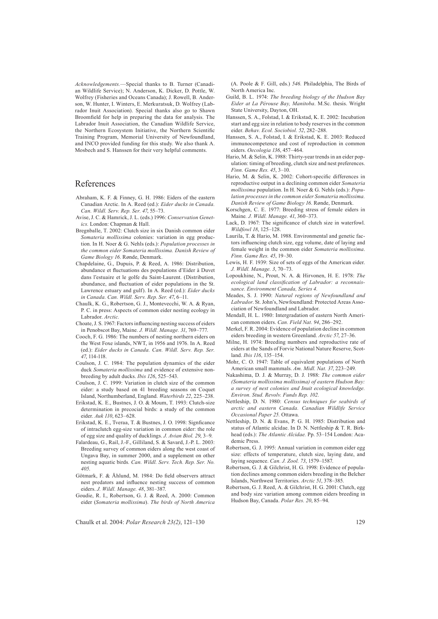*Acknowledgements.*—Special thanks to B. Turner (Canadian Wildlife Service); N. Anderson, K. Dicker, D. Pottle, W. Wolfrey (Fisheries and Oceans Canada); J. Rowell, B. Anderson, W. Hunter, I. Winters, E. Merkuratsuk, D. Wolfrey (Labrador Inuit Association). Special thanks also go to Shawn Broomfield for help in preparing the data for analysis. The Labrador Inuit Association, the Canadian Wildlife Service, the Northern Ecosystem Initiative, the Northern Scientific Training Program, Memorial University of Newfoundland, and INCO provided funding for this study. We also thank A. Mosbech and S. Hanssen for their very helpful comments.

## References

- Abraham, K. F. & Finney, G. H. 1986: Eiders of the eastern Canadian Arctic. In A. Reed (ed.): *Eider ducks in Canada. Can. Wildl. Serv. Rep. Ser. 47*, 55–73.
- Avise, J. C. & Hamrick, J. L. (eds.) 1996: *Conservation Genetics.* London: Chapman & Hall.
- Bregnballe, T. 2002: Clutch size in six Danish common eider *Somateria mollissima* colonies: variation in egg production. In H. Noer & G. Nehls (eds.): *Population processes in the common eider Somateria mollissima. Danish Review of Game Biology 16*. Rønde, Denmark.
- Chapdelaine, G., Dupuis, P. & Reed, A. 1986: Distribution, abundance et fluctuations des populations d'Eider à Duvet dans l'estuaire et le golfe du Saint-Laurent. (Distribution, abundance, and fluctuation of eider populations in the St. Lawrence estuary and gulf). In A. Reed (ed.): *Eider ducks in Canada. Can. Wildl. Serv. Rep. Ser. 47*, 6–11.
- Chaulk, K. G., Robertson, G. J., Montevecchi, W. A. & Ryan, P. C. in press: Aspects of common eider nesting ecology in Labrador. *Arctic.*
- Choate, J. S. 1967: Factors influencing nesting success of eiders in Penobscot Bay, Maine. *J. Wildl. Manage. 31*, 769–777.
- Cooch, F. G. 1986: The numbers of nesting northern eiders on the West Foxe islands, NWT, in 1956 and 1976. In A. Reed (ed.): *Eider ducks in Canada. Can. Wildl. Serv. Rep. Ser. 47*, 114-118.
- Coulson, J. C. 1984: The population dynamics of the eider duck *Somateria mollissima* and evidence of extensive nonbreeding by adult ducks. *Ibis 126*, 525–543.
- Coulson, J. C. 1999: Variation in clutch size of the common eider: a study based on 41 breeding seasons on Coquet Island, Northumberland, England. *Waterbirds 22*, 225–238.
- Erikstad, K. E., Bustnes, J. O. & Moum, T. 1993: Clutch-size determination in precocial birds: a study of the common eider. *Auk 110*, 623–628.
- Erikstad, K. E., Tveraa, T. & Bustnes, J. O. 1998: Signficance of intraclutch egg-size variation in common eider: the role of egg size and quality of ducklings. *J. Avian Biol. 29*, 3–9.
- Falardeau, G., Rail, J.-F., Gilliland, S. & Savard, J.-P. L. 2003: Breeding survey of common eiders along the west coast of Ungava Bay, in summer 2000, and a supplement on other nesting aquatic birds*. Can. Wildl. Serv. Tech. Rep. Ser. No. 405*.
- Götmark, F. & Åhlund, M. 1984: Do field observers attract nest predators and influence nesting success of common eiders. *J. Wildl. Manage. 48*, 381–387.
- Goudie, R. I., Robertson, G. J. & Reed, A. 2000: Common eider (*Somateria mollissima*). *The birds of North America*

Chaulk et al. 2004: *Polar Research 23(2)*, 121–130 129

(A. Poole & F. Gill, eds.) *546.* Philadelphia, The Birds of North America Inc.

- Guild, B. L. 1974: *The breeding biology of the Hudson Bay Eider at La Pérouse Bay, Manitoba*. M.Sc. thesis. Wright State University, Dayton, OH.
- Hanssen, S. A., Folstad, I. & Erikstad, K. E. 2002: Incubation start and egg size in relation to body reserves in the common eider. *Behav. Ecol. Sociobiol. 52*, 282–288.
- Hanssen, S. A., Folstad, I. & Erikstad, K. E. 2003: Reduced immunocompetence and cost of reproduction in common eiders. *Oecologia 136*, 457–464.
- Hario, M. & Selin, K. 1988: Thirty-year trends in an eider population: timing of breeding, clutch size and nest preferences. *Finn. Game Res. 45*, 3–10.
- Hario, M. & Selin, K. 2002: Cohort-specific differences in reproductive output in a declining common eider *Somateria mollissima* population. In H. Noer & G. Nehls (eds.): *Population processes in the common eider Somateria mollissima. Danish Review of Game Biology 16*. Rønde, Denmark.
- Korschgen, C. E. 1977: Breeding stress of female eiders in Maine*. J. Wildl. Manage. 41*, 360–373.
- Lack, D. 1967: The significance of clutch size in waterfowl. *Wildfowl 18*, 125–128.
- Laurila, T. & Hario, M. 1988. Environmental and genetic factors influencing clutch size, egg volume, date of laying and female weight in the common eider *Somateria mollissima*. *Finn. Game Res. 45*, 19–30.
- Lewis, H. F. 1939: Size of sets of eggs of the American eider. *J. Wildl. Manage. 3*, 70–73.
- Lopoukhine, N., Prout, N. A. & Hirvonen, H. E. 1978: *The*  ecological land classification of Labrador: a reconnais*sance. Environment Canada, Series 4.*
- Meades, S. J. 1990: *Natural regions of Newfoundland and Labrador*. St. John's, Newfoundland: Protected Areas Association of Newfoundland and Labrador.
- Mendall, H. L. 1980: Intergradation of eastern North American common eiders. *Can. Field Nat. 94*, 286–292.
- Merkel, F. R. 2004: Evidence of population decline in common eiders breeding in western Greenland. *Arctic 57*, 27–36.
- Milne, H. 1974: Breeding numbers and reproductive rate of eiders at the Sands of Forvie National Nature Reserve, Scotland. *Ibis 116*, 135–154.
- Mohr, C. O. 1947: Table of equivalent populations of North American small mammals. *Am. Midl. Nat. 37*, 223–249.
- Nakashima, D. J. & Murray, D. J. 1988: *The common eider (Somateria mollissima mollissima) of eastern Hudson Bay: a survey of nest colonies and Inuit ecological knowledge. Environ. Stud. Revolv. Funds Rep. 102*.
- Nettleship, D. N. 1980: *Census techniques for seabirds of arctic and eastern Canada. Canadian Wildlife Service Occasional Paper 25.* Ottawa.
- Nettleship, D. N. & Evans, P. G. H. 1985: Distribution and status of Atlantic alcidae. In D. N. Nettleship & T. R. Birkhead (eds.): *The Atlantic Alcidae.* Pp. 53–154 London: Academic Press.
- Robertson, G. J. 1995: Annual variation in common eider egg size: effects of temperature, clutch size, laying date, and laying sequence. *Can. J. Zool. 73*, 1579–1587.
- Robertson, G. J. & Gilchrist, H. G. 1998: Evidence of population declines among common eiders breeding in the Belcher Islands, Northwest Territories. *Arctic 51*, 378–385.
- Robertson, G. J. Reed, A. & Gilchrist, H. G. 2001: Clutch, egg and body size variation among common eiders breeding in Hudson Bay, Canada. *Polar Res. 20*, 85–94.